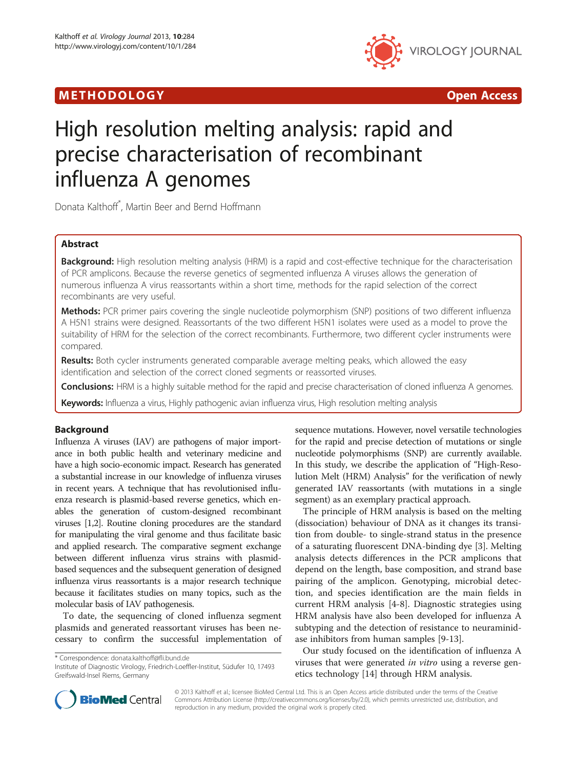# M E THODO L OGY Open Access



# High resolution melting analysis: rapid and precise characterisation of recombinant influenza A genomes

Donata Kalthoff\* , Martin Beer and Bernd Hoffmann

# Abstract

Background: High resolution melting analysis (HRM) is a rapid and cost-effective technique for the characterisation of PCR amplicons. Because the reverse genetics of segmented influenza A viruses allows the generation of numerous influenza A virus reassortants within a short time, methods for the rapid selection of the correct recombinants are very useful.

Methods: PCR primer pairs covering the single nucleotide polymorphism (SNP) positions of two different influenza A H5N1 strains were designed. Reassortants of the two different H5N1 isolates were used as a model to prove the suitability of HRM for the selection of the correct recombinants. Furthermore, two different cycler instruments were compared.

Results: Both cycler instruments generated comparable average melting peaks, which allowed the easy identification and selection of the correct cloned segments or reassorted viruses.

Conclusions: HRM is a highly suitable method for the rapid and precise characterisation of cloned influenza A genomes.

Keywords: Influenza a virus, Highly pathogenic avian influenza virus, High resolution melting analysis

# Background

Influenza A viruses (IAV) are pathogens of major importance in both public health and veterinary medicine and have a high socio-economic impact. Research has generated a substantial increase in our knowledge of influenza viruses in recent years. A technique that has revolutionised influenza research is plasmid-based reverse genetics, which enables the generation of custom-designed recombinant viruses [\[1,2\]](#page-4-0). Routine cloning procedures are the standard for manipulating the viral genome and thus facilitate basic and applied research. The comparative segment exchange between different influenza virus strains with plasmidbased sequences and the subsequent generation of designed influenza virus reassortants is a major research technique because it facilitates studies on many topics, such as the molecular basis of IAV pathogenesis.

To date, the sequencing of cloned influenza segment plasmids and generated reassortant viruses has been necessary to confirm the successful implementation of

\* Correspondence: [donata.kalthoff@fli.bund.de](mailto:donata.kalthoff@fli.bund.de)

Institute of Diagnostic Virology, Friedrich-Loeffler-Institut, Südufer 10, 17493 Greifswald-Insel Riems, Germany

sequence mutations. However, novel versatile technologies for the rapid and precise detection of mutations or single nucleotide polymorphisms (SNP) are currently available. In this study, we describe the application of "High-Resolution Melt (HRM) Analysis" for the verification of newly generated IAV reassortants (with mutations in a single segment) as an exemplary practical approach.

The principle of HRM analysis is based on the melting (dissociation) behaviour of DNA as it changes its transition from double- to single-strand status in the presence of a saturating fluorescent DNA-binding dye [[3\]](#page-4-0). Melting analysis detects differences in the PCR amplicons that depend on the length, base composition, and strand base pairing of the amplicon. Genotyping, microbial detection, and species identification are the main fields in current HRM analysis [\[4](#page-4-0)-[8\]](#page-4-0). Diagnostic strategies using HRM analysis have also been developed for influenza A subtyping and the detection of resistance to neuraminidase inhibitors from human samples [\[9](#page-4-0)-[13\]](#page-4-0).

Our study focused on the identification of influenza A viruses that were generated *in vitro* using a reverse genetics technology [[14\]](#page-4-0) through HRM analysis.



© 2013 Kalthoff et al.; licensee BioMed Central Ltd. This is an Open Access article distributed under the terms of the Creative Commons Attribution License [\(http://creativecommons.org/licenses/by/2.0\)](http://creativecommons.org/licenses/by/2.0), which permits unrestricted use, distribution, and reproduction in any medium, provided the original work is properly cited.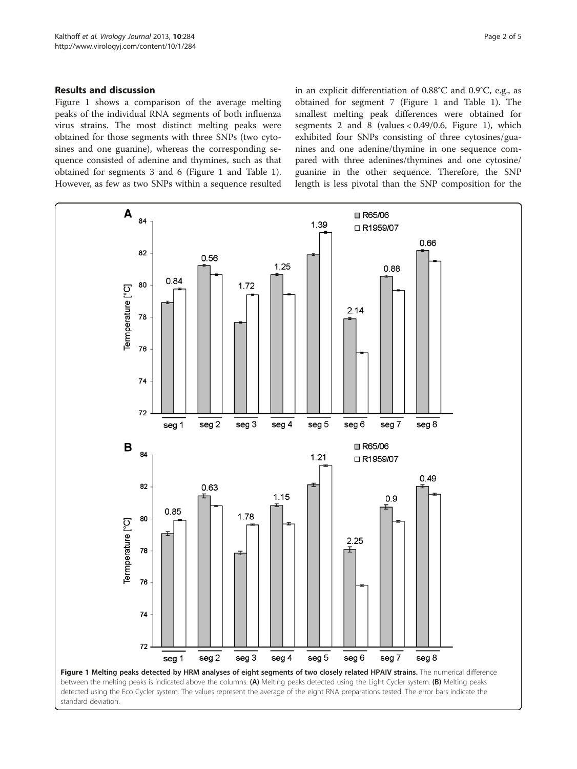# <span id="page-1-0"></span>Results and discussion

Figure 1 shows a comparison of the average melting peaks of the individual RNA segments of both influenza virus strains. The most distinct melting peaks were obtained for those segments with three SNPs (two cytosines and one guanine), whereas the corresponding sequence consisted of adenine and thymines, such as that obtained for segments 3 and 6 (Figure 1 and Table [1](#page-2-0)). However, as few as two SNPs within a sequence resulted in an explicit differentiation of 0.88°C and 0.9°C, e.g., as obtained for segment 7 (Figure 1 and Table [1](#page-2-0)). The smallest melting peak differences were obtained for segments 2 and 8 (values < 0.49/0.6, Figure 1), which exhibited four SNPs consisting of three cytosines/guanines and one adenine/thymine in one sequence compared with three adenines/thymines and one cytosine/ guanine in the other sequence. Therefore, the SNP length is less pivotal than the SNP composition for the

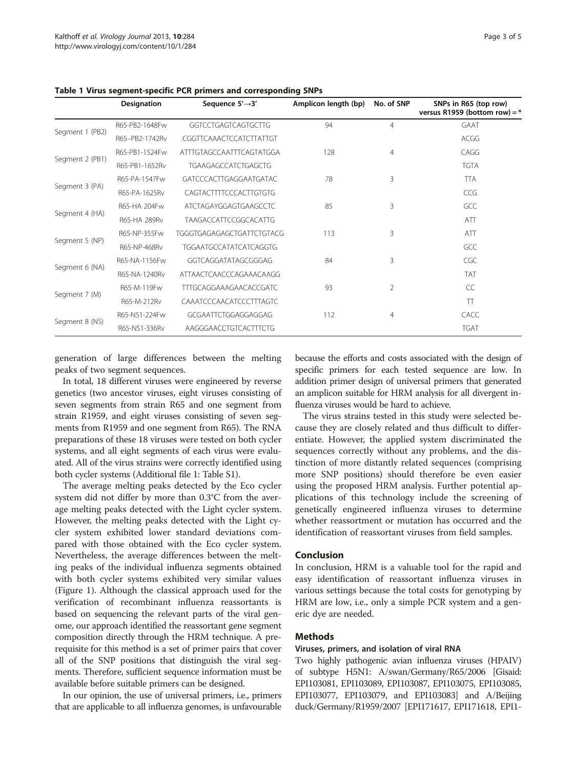<span id="page-2-0"></span>Table 1 Virus segment-specific PCR primers and corresponding SNPs

|                 | Designation    | Sequence 5'→3'                | Amplicon length (bp) | No. of SNP     | SNPs in R65 (top row)<br>versus R1959 (bottom row) = $*$ |
|-----------------|----------------|-------------------------------|----------------------|----------------|----------------------------------------------------------|
| Segment 1 (PB2) | R65-PB2-1648Fw | <b>GGTCCTGAGTCAGTGCTTG</b>    | 94                   | $\overline{4}$ | <b>GAAT</b>                                              |
|                 | R65-PB2-1742Rv | CGGTTCAAACTCCATCTTATTGT       |                      |                | ACGG                                                     |
| Segment 2 (PB1) | R65-PB1-1524Fw | ATTTGTAGCCAATTTCAGTATGGA      | 128                  | 4              | CAGG                                                     |
|                 | R65-PB1-1652Rv | TGAAGAGCCATCTGAGCTG           |                      |                | <b>TGTA</b>                                              |
| Segment 3 (PA)  | R65-PA-1547Fw  | GATCCCACTTGAGGAATGATAC        | 78                   | 3              | <b>TTA</b>                                               |
|                 | R65-PA-1625Rv  | CAGTACTTTTCCCACTTGTGTG        |                      |                | CCG                                                      |
| Segment 4 (HA)  | R65-HA 204Fw   | ATCTAGAYGGAGTGAAGCCTC         | 85                   | 3              | GCC                                                      |
|                 | R65-HA 289Rv   | TAAGACCATTCCGGCACATTG         |                      |                | ATT                                                      |
| Segment 5 (NP)  | R65-NP-355Fw   | TGGGTGAGAGAGCTGATTCTGTACG     | 113                  | 3              | ATT                                                      |
|                 | R65-NP-468Rv   | <b>TGGAATGCCATATCATCAGGTG</b> |                      |                | GCC                                                      |
| Segment 6 (NA)  | R65-NA-1156Fw  | GGTCAGGATATAGCGGGAG           | 84                   | 3              | CGC                                                      |
|                 | R65-NA-1240Rv  | ATTAACTCAACCCAGAAACAAGG       |                      |                | <b>TAT</b>                                               |
| Segment 7 (M)   | R65-M-119Fw    | <b>TTTGCAGGAAAGAACACCGATC</b> | 93                   | 2              | CC                                                       |
|                 | R65-M-212Rv    | CAAATCCCAACATCCCTTTAGTC       |                      |                | TT                                                       |
| Segment 8 (NS)  | R65-NS1-224Fw  | GCGAATTCTGGAGGAGGAG           | 112                  | $\overline{4}$ | <b>CACC</b>                                              |
|                 | R65-NS1-336Rv  | AAGGGAACCTGTCACTTTCTG         |                      |                | <b>TGAT</b>                                              |

generation of large differences between the melting peaks of two segment sequences.

In total, 18 different viruses were engineered by reverse genetics (two ancestor viruses, eight viruses consisting of seven segments from strain R65 and one segment from strain R1959, and eight viruses consisting of seven segments from R1959 and one segment from R65). The RNA preparations of these 18 viruses were tested on both cycler systems, and all eight segments of each virus were evaluated. All of the virus strains were correctly identified using both cycler systems (Additional file [1](#page-4-0): Table S1).

The average melting peaks detected by the Eco cycler system did not differ by more than 0.3°C from the average melting peaks detected with the Light cycler system. However, the melting peaks detected with the Light cycler system exhibited lower standard deviations compared with those obtained with the Eco cycler system. Nevertheless, the average differences between the melting peaks of the individual influenza segments obtained with both cycler systems exhibited very similar values (Figure [1](#page-1-0)). Although the classical approach used for the verification of recombinant influenza reassortants is based on sequencing the relevant parts of the viral genome, our approach identified the reassortant gene segment composition directly through the HRM technique. A prerequisite for this method is a set of primer pairs that cover all of the SNP positions that distinguish the viral segments. Therefore, sufficient sequence information must be available before suitable primers can be designed.

In our opinion, the use of universal primers, i.e., primers that are applicable to all influenza genomes, is unfavourable

because the efforts and costs associated with the design of specific primers for each tested sequence are low. In addition primer design of universal primers that generated an amplicon suitable for HRM analysis for all divergent influenza viruses would be hard to achieve.

The virus strains tested in this study were selected because they are closely related and thus difficult to differentiate. However, the applied system discriminated the sequences correctly without any problems, and the distinction of more distantly related sequences (comprising more SNP positions) should therefore be even easier using the proposed HRM analysis. Further potential applications of this technology include the screening of genetically engineered influenza viruses to determine whether reassortment or mutation has occurred and the identification of reassortant viruses from field samples.

## Conclusion

In conclusion, HRM is a valuable tool for the rapid and easy identification of reassortant influenza viruses in various settings because the total costs for genotyping by HRM are low, i.e., only a simple PCR system and a generic dye are needed.

# Methods

# Viruses, primers, and isolation of viral RNA

Two highly pathogenic avian influenza viruses (HPAIV) of subtype H5N1: A/swan/Germany/R65/2006 [Gisaid: EPI103081, EPI103089, EPI103087, EPI103075, EPI103085, EPI103077, EPI103079, and EPI103083] and A/Beijing duck/Germany/R1959/2007 [EPI171617, EPI171618, EPI1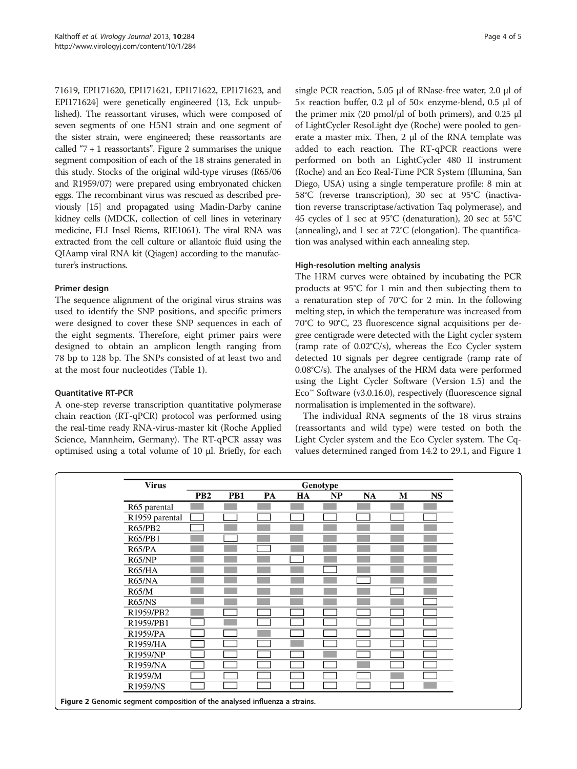71619, EPI171620, EPI171621, EPI171622, EPI171623, and EPI171624] were genetically engineered (13, Eck unpublished). The reassortant viruses, which were composed of seven segments of one H5N1 strain and one segment of the sister strain, were engineered; these reassortants are called " $7 + 1$  reassortants". Figure 2 summarises the unique segment composition of each of the 18 strains generated in this study. Stocks of the original wild-type viruses (R65/06 and R1959/07) were prepared using embryonated chicken eggs. The recombinant virus was rescued as described previously [\[15\]](#page-4-0) and propagated using Madin-Darby canine kidney cells (MDCK, collection of cell lines in veterinary medicine, FLI Insel Riems, RIE1061). The viral RNA was extracted from the cell culture or allantoic fluid using the QIAamp viral RNA kit (Qiagen) according to the manufacturer's instructions.

# Primer design

The sequence alignment of the original virus strains was used to identify the SNP positions, and specific primers were designed to cover these SNP sequences in each of the eight segments. Therefore, eight primer pairs were designed to obtain an amplicon length ranging from 78 bp to 128 bp. The SNPs consisted of at least two and at the most four nucleotides (Table [1\)](#page-2-0).

# Quantitative RT-PCR

A one-step reverse transcription quantitative polymerase chain reaction (RT-qPCR) protocol was performed using the real-time ready RNA-virus-master kit (Roche Applied Science, Mannheim, Germany). The RT-qPCR assay was optimised using a total volume of 10 μl. Briefly, for each single PCR reaction, 5.05 μl of RNase-free water, 2.0 μl of 5× reaction buffer, 0.2 μl of 50× enzyme-blend, 0.5 μl of the primer mix (20 pmol/μl of both primers), and 0.25 μl of LightCycler ResoLight dye (Roche) were pooled to generate a master mix. Then, 2 μl of the RNA template was added to each reaction. The RT-qPCR reactions were performed on both an LightCycler 480 II instrument (Roche) and an Eco Real-Time PCR System (Illumina, San Diego, USA) using a single temperature profile: 8 min at 58°C (reverse transcription), 30 sec at 95°C (inactivation reverse transcriptase/activation Taq polymerase), and 45 cycles of 1 sec at 95°C (denaturation), 20 sec at 55°C (annealing), and 1 sec at 72°C (elongation). The quantification was analysed within each annealing step.

# High-resolution melting analysis

The HRM curves were obtained by incubating the PCR products at 95°C for 1 min and then subjecting them to a renaturation step of 70°C for 2 min. In the following melting step, in which the temperature was increased from 70°C to 90°C, 23 fluorescence signal acquisitions per degree centigrade were detected with the Light cycler system (ramp rate of 0.02°C/s), whereas the Eco Cycler system detected 10 signals per degree centigrade (ramp rate of 0.08°C/s). The analyses of the HRM data were performed using the Light Cycler Software (Version 1.5) and the Eco™ Software (v3.0.16.0), respectively (fluorescence signal normalisation is implemented in the software).

The individual RNA segments of the 18 virus strains (reassortants and wild type) were tested on both the Light Cycler system and the Eco Cycler system. The Cqvalues determined ranged from 14.2 to 29.1, and Figure [1](#page-1-0)